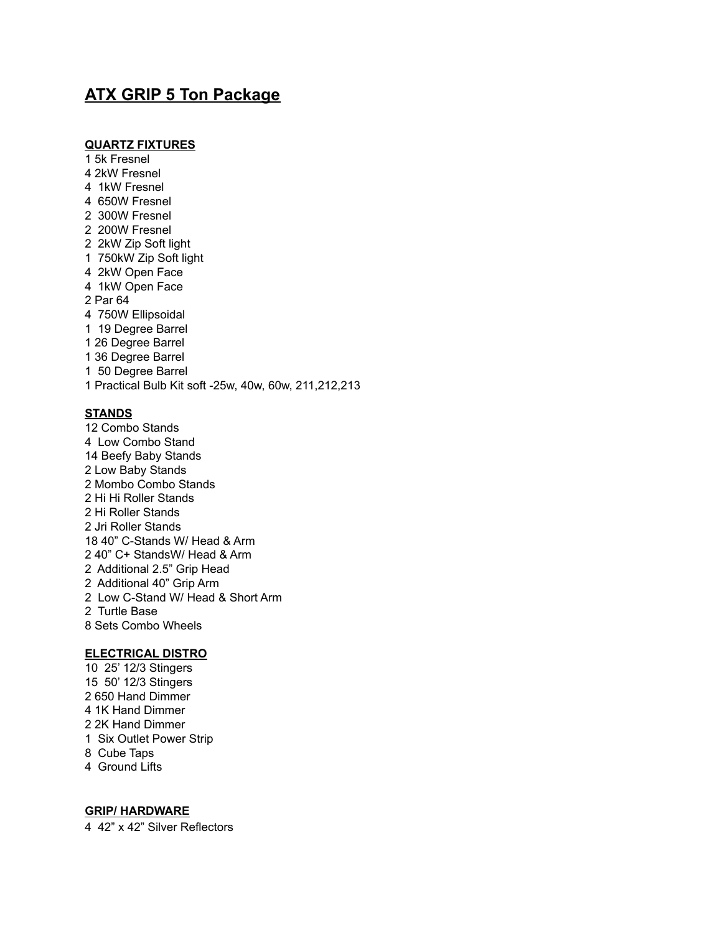# **ATX GRIP 5 Ton Package**

## **QUARTZ FIXTURES**

- 5k Fresnel 2kW Fresnel 1kW Fresnel 650W Fresnel 300W Fresnel 200W Fresnel 2kW Zip Soft light 750kW Zip Soft light 2kW Open Face 1kW Open Face Par 64 750W Ellipsoidal 19 Degree Barrel 26 Degree Barrel 36 Degree Barrel 50 Degree Barrel Practical Bulb Kit soft -25w, 40w, 60w, 211,212,213 **STANDS**
- Combo Stands Low Combo Stand Beefy Baby Stands Low Baby Stands Mombo Combo Stands Hi Hi Roller Stands Hi Roller Stands Jri Roller Stands 40" C-Stands W/ Head & Arm 40" C+ StandsW/ Head & Arm Additional 2.5" Grip Head Additional 40" Grip Arm Low C-Stand W/ Head & Short Arm Turtle Base Sets Combo Wheels

# **ELECTRICAL DISTRO**

- 25' 12/3 Stingers 50' 12/3 Stingers 650 Hand Dimmer 1K Hand Dimmer 2K Hand Dimmer Six Outlet Power Strip Cube Taps
- Ground Lifts

#### **GRIP/ HARDWARE**

42" x 42" Silver Reflectors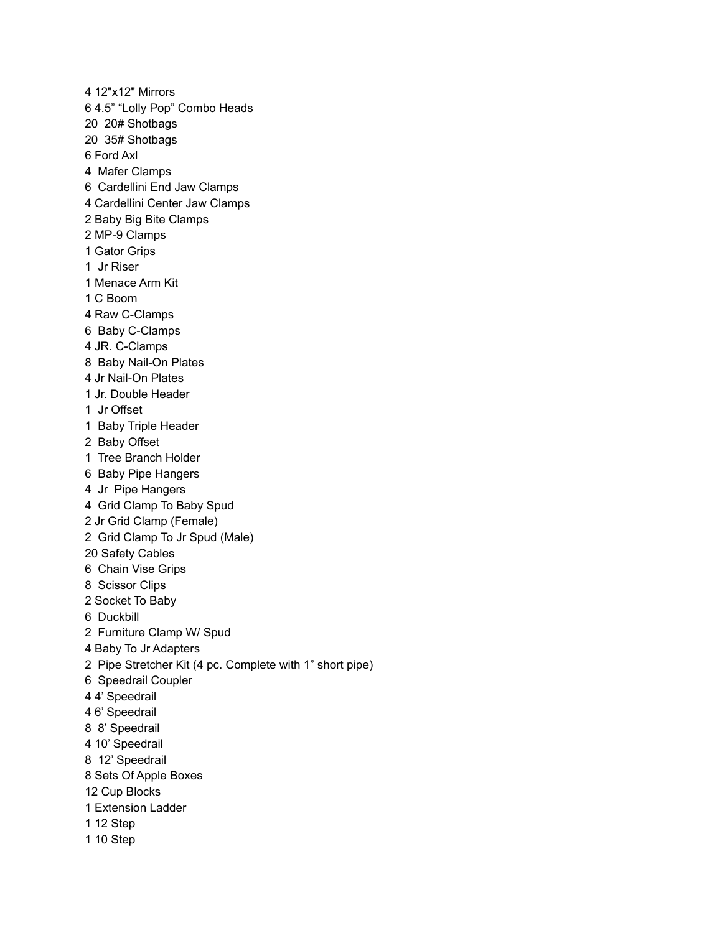12"x12" Mirrors 4.5" "Lolly Pop" Combo Heads 20# Shotbags 35# Shotbags Ford Axl Mafer Clamps Cardellini End Jaw Clamps Cardellini Center Jaw Clamps Baby Big Bite Clamps MP-9 Clamps Gator Grips Jr Riser Menace Arm Kit C Boom Raw C-Clamps Baby C-Clamps JR. C-Clamps Baby Nail-On Plates Jr Nail-On Plates Jr. Double Header Jr Offset Baby Triple Header Baby Offset Tree Branch Holder Baby Pipe Hangers Jr Pipe Hangers Grid Clamp To Baby Spud Jr Grid Clamp (Female) Grid Clamp To Jr Spud (Male) Safety Cables Chain Vise Grips Scissor Clips Socket To Baby Duckbill Furniture Clamp W/ Spud Baby To Jr Adapters Pipe Stretcher Kit (4 pc. Complete with 1" short pipe) Speedrail Coupler 4' Speedrail 6' Speedrail 8' Speedrail 10' Speedrail 12' Speedrail Sets Of Apple Boxes Cup Blocks Extension Ladder 12 Step 10 Step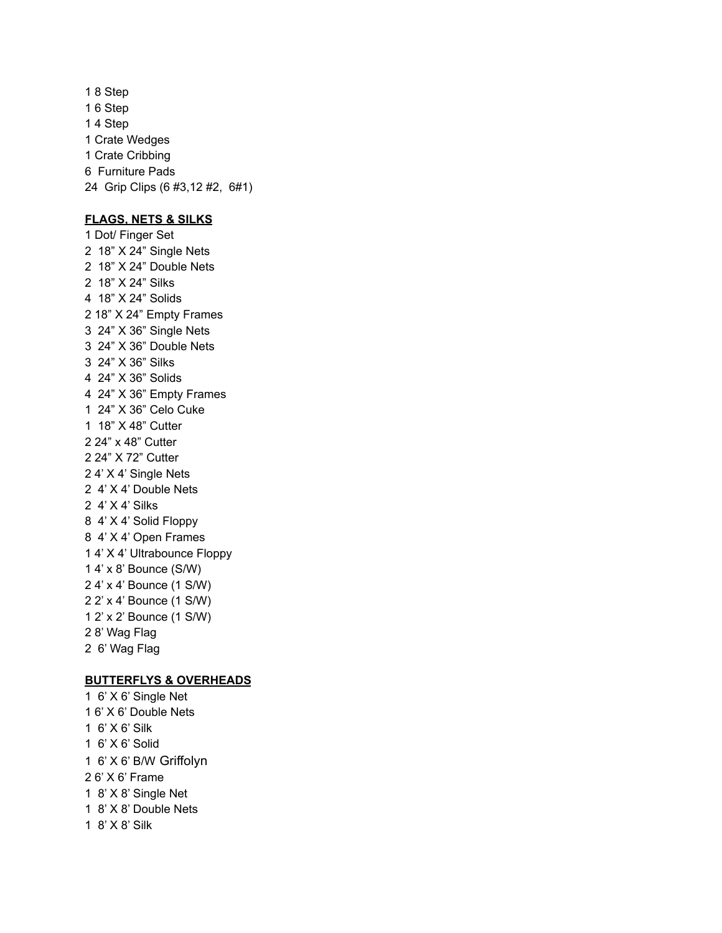8 Step 6 Step 4 Step Crate Wedges Crate Cribbing Furniture Pads Grip Clips (6 #3,12 #2, 6#1)

### **FLAGS, NETS & SILKS**

 Dot/ Finger Set 18" X 24" Single Nets 18" X 24" Double Nets 18" X 24" Silks 18" X 24" Solids 18" X 24" Empty Frames 24" X 36" Single Nets 24" X 36" Double Nets 24" X 36" Silks 24" X 36" Solids 24" X 36" Empty Frames 24" X 36" Celo Cuke 18" X 48" Cutter 24" x 48" Cutter 24" X 72" Cutter 4' X 4' Single Nets 4' X 4' Double Nets 4' X 4' Silks 4' X 4' Solid Floppy 4' X 4' Open Frames 4' X 4' Ultrabounce Floppy 4' x 8' Bounce (S/W) 4' x 4' Bounce (1 S/W) 2' x 4' Bounce (1 S/W) 2' x 2' Bounce (1 S/W) 8' Wag Flag 6' Wag Flag

# **BUTTERFLYS & OVERHEADS**

 6' X 6' Single Net 6' X 6' Double Nets 6' X 6' Silk 6' X 6' Solid 6' X 6' B/W Griffolyn 6' X 6' Frame 8' X 8' Single Net 8' X 8' Double Nets 8' X 8' Silk